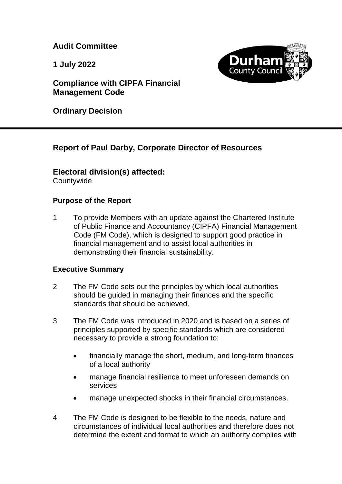**Audit Committee**

**1 July 2022**



**Compliance with CIPFA Financial Management Code**

**Ordinary Decision**

# **Report of Paul Darby, Corporate Director of Resources**

# **Electoral division(s) affected:**

**Countywide** 

# **Purpose of the Report**

1 To provide Members with an update against the Chartered Institute of Public Finance and Accountancy (CIPFA) Financial Management Code (FM Code), which is designed to support good practice in financial management and to assist local authorities in demonstrating their financial sustainability.

# **Executive Summary**

- 2 The FM Code sets out the principles by which local authorities should be guided in managing their finances and the specific standards that should be achieved.
- 3 The FM Code was introduced in 2020 and is based on a series of principles supported by specific standards which are considered necessary to provide a strong foundation to:
	- financially manage the short, medium, and long-term finances of a local authority
	- manage financial resilience to meet unforeseen demands on services
	- manage unexpected shocks in their financial circumstances.
- 4 The FM Code is designed to be flexible to the needs, nature and circumstances of individual local authorities and therefore does not determine the extent and format to which an authority complies with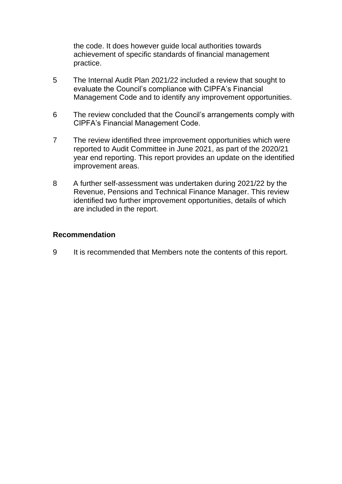the code. It does however guide local authorities towards achievement of specific standards of financial management practice.

- 5 The Internal Audit Plan 2021/22 included a review that sought to evaluate the Council's compliance with CIPFA's Financial Management Code and to identify any improvement opportunities.
- 6 The review concluded that the Council's arrangements comply with CIPFA's Financial Management Code.
- 7 The review identified three improvement opportunities which were reported to Audit Committee in June 2021, as part of the 2020/21 year end reporting. This report provides an update on the identified improvement areas.
- 8 A further self-assessment was undertaken during 2021/22 by the Revenue, Pensions and Technical Finance Manager. This review identified two further improvement opportunities, details of which are included in the report.

#### **Recommendation**

9 It is recommended that Members note the contents of this report.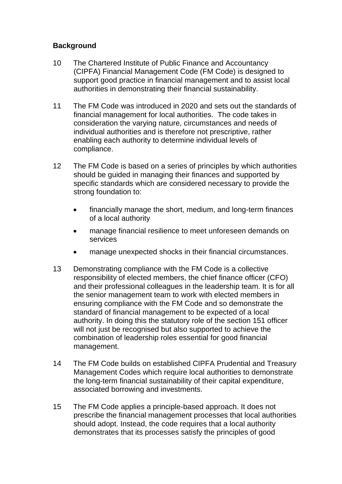# **Background**

- 10 The Chartered Institute of Public Finance and Accountancy (CIPFA) Financial Management Code (FM Code) is designed to support good practice in financial management and to assist local authorities in demonstrating their financial sustainability.
- 11 The FM Code was introduced in 2020 and sets out the standards of financial management for local authorities. The code takes in consideration the varying nature, circumstances and needs of individual authorities and is therefore not prescriptive, rather enabling each authority to determine individual levels of compliance.
- 12 The FM Code is based on a series of principles by which authorities should be guided in managing their finances and supported by specific standards which are considered necessary to provide the strong foundation to:
	- financially manage the short, medium, and long-term finances of a local authority
	- manage financial resilience to meet unforeseen demands on services
	- manage unexpected shocks in their financial circumstances.
- 13 Demonstrating compliance with the FM Code is a collective responsibility of elected members, the chief finance officer (CFO) and their professional colleagues in the leadership team. It is for all the senior management team to work with elected members in ensuring compliance with the FM Code and so demonstrate the standard of financial management to be expected of a local authority. In doing this the statutory role of the section 151 officer will not just be recognised but also supported to achieve the combination of leadership roles essential for good financial management.
- 14 The FM Code builds on established CIPFA Prudential and Treasury Management Codes which require local authorities to demonstrate the long-term financial sustainability of their capital expenditure, associated borrowing and investments.
- 15 The FM Code applies a principle-based approach. It does not prescribe the financial management processes that local authorities should adopt. Instead, the code requires that a local authority demonstrates that its processes satisfy the principles of good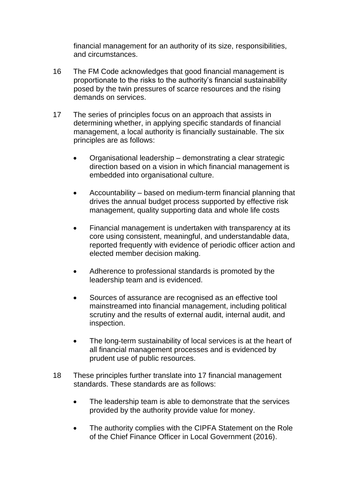financial management for an authority of its size, responsibilities, and circumstances.

- 16 The FM Code acknowledges that good financial management is proportionate to the risks to the authority's financial sustainability posed by the twin pressures of scarce resources and the rising demands on services.
- 17 The series of principles focus on an approach that assists in determining whether, in applying specific standards of financial management, a local authority is financially sustainable. The six principles are as follows:
	- Organisational leadership demonstrating a clear strategic direction based on a vision in which financial management is embedded into organisational culture.
	- Accountability based on medium-term financial planning that drives the annual budget process supported by effective risk management, quality supporting data and whole life costs
	- Financial management is undertaken with transparency at its core using consistent, meaningful, and understandable data, reported frequently with evidence of periodic officer action and elected member decision making.
	- Adherence to professional standards is promoted by the leadership team and is evidenced.
	- Sources of assurance are recognised as an effective tool mainstreamed into financial management, including political scrutiny and the results of external audit, internal audit, and inspection.
	- The long-term sustainability of local services is at the heart of all financial management processes and is evidenced by prudent use of public resources.
- 18 These principles further translate into 17 financial management standards. These standards are as follows:
	- The leadership team is able to demonstrate that the services provided by the authority provide value for money.
	- The authority complies with the CIPFA Statement on the Role of the Chief Finance Officer in Local Government (2016).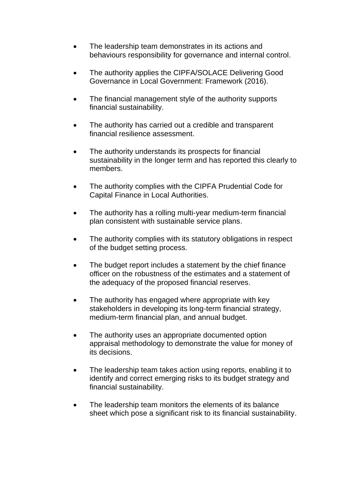- The leadership team demonstrates in its actions and behaviours responsibility for governance and internal control.
- The authority applies the CIPFA/SOLACE Delivering Good Governance in Local Government: Framework (2016).
- The financial management style of the authority supports financial sustainability.
- The authority has carried out a credible and transparent financial resilience assessment.
- The authority understands its prospects for financial sustainability in the longer term and has reported this clearly to members.
- The authority complies with the CIPFA Prudential Code for Capital Finance in Local Authorities.
- The authority has a rolling multi-year medium-term financial plan consistent with sustainable service plans.
- The authority complies with its statutory obligations in respect of the budget setting process.
- The budget report includes a statement by the chief finance officer on the robustness of the estimates and a statement of the adequacy of the proposed financial reserves.
- The authority has engaged where appropriate with key stakeholders in developing its long-term financial strategy, medium-term financial plan, and annual budget.
- The authority uses an appropriate documented option appraisal methodology to demonstrate the value for money of its decisions.
- The leadership team takes action using reports, enabling it to identify and correct emerging risks to its budget strategy and financial sustainability.
- The leadership team monitors the elements of its balance sheet which pose a significant risk to its financial sustainability.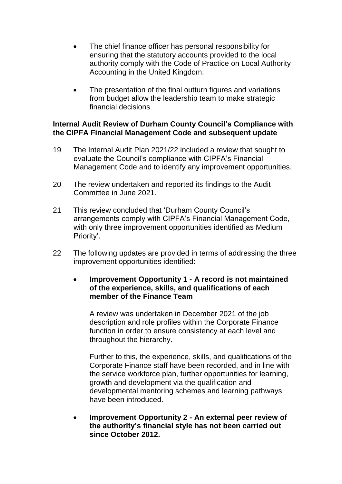- The chief finance officer has personal responsibility for ensuring that the statutory accounts provided to the local authority comply with the Code of Practice on Local Authority Accounting in the United Kingdom.
- The presentation of the final outturn figures and variations from budget allow the leadership team to make strategic financial decisions

## **Internal Audit Review of Durham County Council's Compliance with the CIPFA Financial Management Code and subsequent update**

- 19 The Internal Audit Plan 2021/22 included a review that sought to evaluate the Council's compliance with CIPFA's Financial Management Code and to identify any improvement opportunities.
- 20 The review undertaken and reported its findings to the Audit Committee in June 2021.
- 21 This review concluded that 'Durham County Council's arrangements comply with CIPFA's Financial Management Code, with only three improvement opportunities identified as Medium Priority'.
- 22 The following updates are provided in terms of addressing the three improvement opportunities identified:

## **Improvement Opportunity 1 - A record is not maintained of the experience, skills, and qualifications of each member of the Finance Team**

A review was undertaken in December 2021 of the job description and role profiles within the Corporate Finance function in order to ensure consistency at each level and throughout the hierarchy.

Further to this, the experience, skills, and qualifications of the Corporate Finance staff have been recorded, and in line with the service workforce plan, further opportunities for learning, growth and development via the qualification and developmental mentoring schemes and learning pathways have been introduced.

 **Improvement Opportunity 2 - An external peer review of the authority's financial style has not been carried out since October 2012.**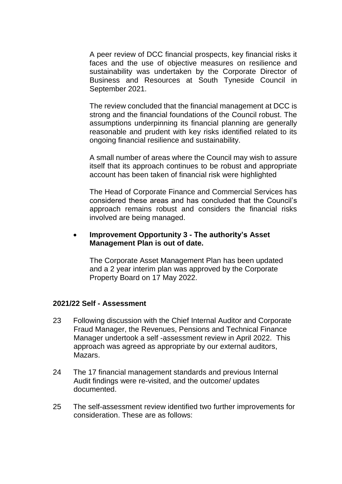A peer review of DCC financial prospects, key financial risks it faces and the use of objective measures on resilience and sustainability was undertaken by the Corporate Director of Business and Resources at South Tyneside Council in September 2021.

The review concluded that the financial management at DCC is strong and the financial foundations of the Council robust. The assumptions underpinning its financial planning are generally reasonable and prudent with key risks identified related to its ongoing financial resilience and sustainability.

A small number of areas where the Council may wish to assure itself that its approach continues to be robust and appropriate account has been taken of financial risk were highlighted

The Head of Corporate Finance and Commercial Services has considered these areas and has concluded that the Council's approach remains robust and considers the financial risks involved are being managed.

#### **Improvement Opportunity 3 - The authority's Asset Management Plan is out of date.**

The Corporate Asset Management Plan has been updated and a 2 year interim plan was approved by the Corporate Property Board on 17 May 2022.

#### **2021/22 Self - Assessment**

- 23 Following discussion with the Chief Internal Auditor and Corporate Fraud Manager, the Revenues, Pensions and Technical Finance Manager undertook a self -assessment review in April 2022. This approach was agreed as appropriate by our external auditors, Mazars.
- 24 The 17 financial management standards and previous Internal Audit findings were re-visited, and the outcome/ updates documented.
- 25 The self-assessment review identified two further improvements for consideration. These are as follows: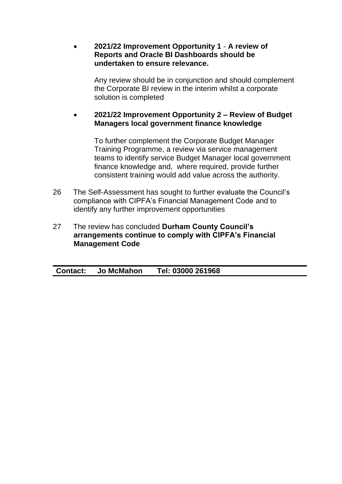**2021/22 Improvement Opportunity 1** - **A review of Reports and Oracle BI Dashboards should be undertaken to ensure relevance.**

Any review should be in conjunction and should complement the Corporate BI review in the interim whilst a corporate solution is completed

## **2021/22 Improvement Opportunity 2 – Review of Budget Managers local government finance knowledge**

To further complement the Corporate Budget Manager Training Programme, a review via service management teams to identify service Budget Manager local government finance knowledge and, where required, provide further consistent training would add value across the authority.

- 26 The Self-Assessment has sought to further evaluate the Council's compliance with CIPFA's Financial Management Code and to identify any further improvement opportunities
- 27 The review has concluded **Durham County Council's arrangements continue to comply with CIPFA's Financial Management Code**

|--|